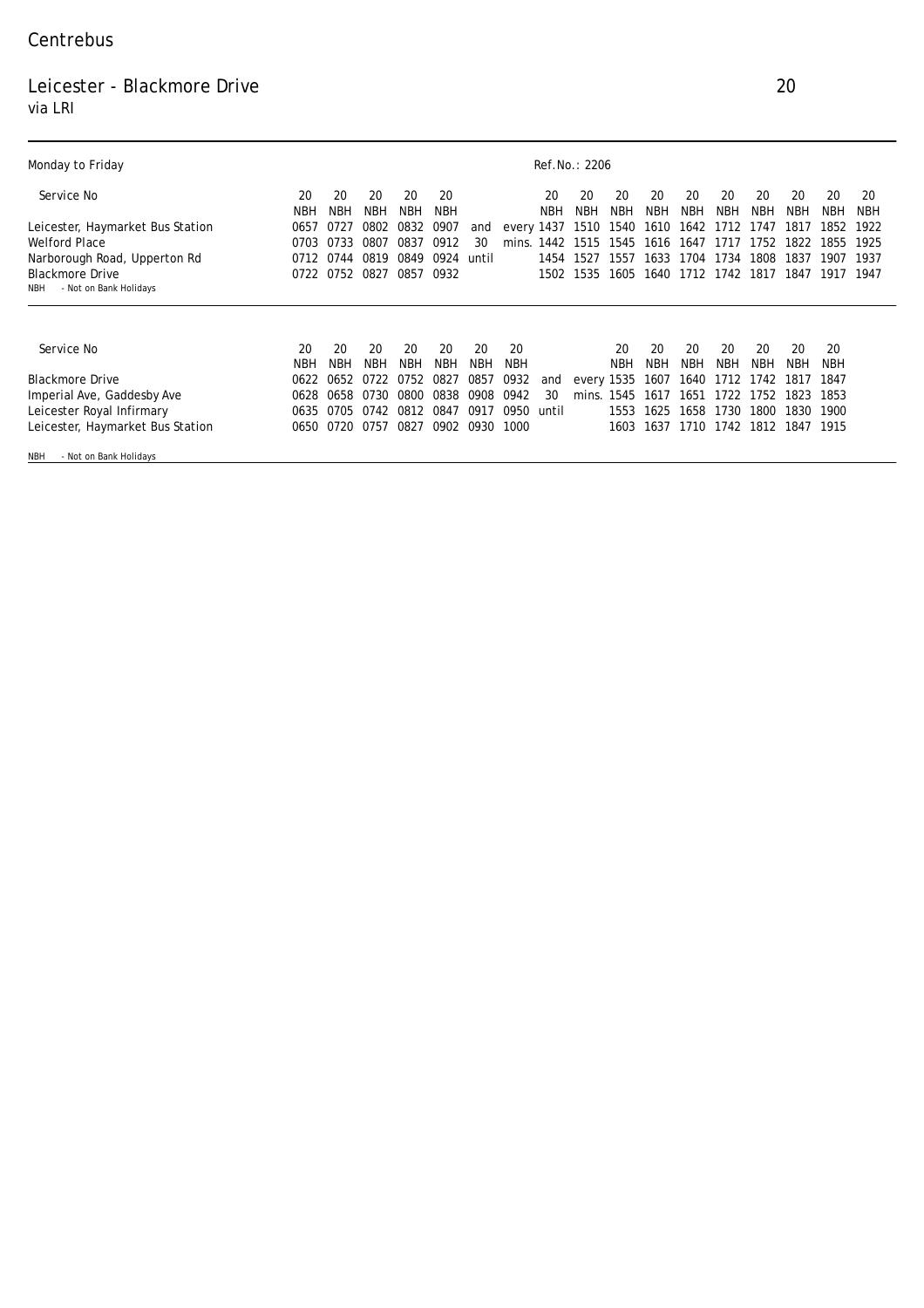## Centrebus

## Leicester - Blackmore Drive 20 via LRI

| <b>Monday to Friday</b>                                 | <b>Ref.No.: 2206</b> |            |            |            |            |            |       |            |            |            |      |            |            |      |            |            |            |
|---------------------------------------------------------|----------------------|------------|------------|------------|------------|------------|-------|------------|------------|------------|------|------------|------------|------|------------|------------|------------|
| Service No                                              | 20                   | 20         | 20         | 20         | 20         |            |       | 20         | 20         | 20         | 20   | 20         | 20         | 20   | 20         | 20         | 20         |
|                                                         | <b>NBH</b>           | NBH        | <b>NBH</b> | <b>NBH</b> | <b>NBH</b> |            |       | <b>NBH</b> | <b>NBH</b> | NBH        | NBH  | <b>NBH</b> | <b>NBH</b> | NBH  | <b>NBH</b> | <b>NBH</b> | <b>NBH</b> |
| <b>Leicester, Haymarket Bus Station</b>                 | 0657                 | 0727       | 0802       | 0832       | 0907       | and        |       | every 1437 | 1510       | 1540       | 1610 | 1642       | 1712       | 1747 | 1817       | 1852       | 1922       |
| <b>Welford Place</b>                                    | 0703                 | 0733       | 0807       | 0837       | 0912       | 30         | mins. | 1442       | 1515       | 1545       | 1616 | 1647       | 1717       | 1752 | 1822       | 1855       | 1925       |
| Narborough Road, Upperton Rd                            | 0712                 | 0744       | 0819       | 0849       | 0924       | until      |       | 1454       | 1527       | 1557       | 1633 | 1704       | 1734       | 1808 | 1837       | 1907       | 1937       |
| <b>Blackmore Drive</b><br>- Not on Bank Holidays<br>NBH | 0722                 | 0752       | 0827       | 0857       | 0932       |            |       | 1502       | 1535       | 1605       | 1640 | 1712       | 1742       | 1817 | 1847       | 1917       | 1947       |
|                                                         |                      |            |            |            |            |            |       |            |            |            |      |            |            |      |            |            |            |
| Service No                                              | 20                   | 20         | 20         | 20         | 20         | 20         | 20    |            |            | 20         | 20   | 20         | 20         | 20   | 20         | 20         |            |
|                                                         | <b>NBH</b>           | <b>NBH</b> | NBH        | <b>NBH</b> | <b>NBH</b> | <b>NBH</b> | NBH   |            |            | <b>NBH</b> | NBH  | <b>NBH</b> | NBH        | NBH  | <b>NBH</b> | NBH        |            |
| <b>Blackmore Drive</b>                                  | 0622                 | 0652       | 0722       | 0752       | 0827       | 0857       | 0932  | and        | every 1535 |            | 1607 | 1640       | 1712       | 1742 | 1817       | 1847       |            |
| <b>Imperial Ave, Gaddesby Ave</b>                       | 0628                 | 0658       | 0730       | 0800       | 0838       | 0908       | 0942  | 30         | mins.      | 1545       | 1617 | 1651       | 1722       | 1752 | 1823       | 1853       |            |
| <b>Leicester Royal Infirmary</b>                        | 0635                 | 0705       | 0742       | 0812       | 0847       | 0917       | 0950  | until      |            | 1553       | 1625 | 1658       | 1730       | 1800 | 1830       | 1900       |            |
| <b>Leicester, Haymarket Bus Station</b>                 | 0650                 | 0720       | 0757       | 0827       | 0902       | 0930       | 1000  |            |            | 1603       | 1637 | 1710       | 1742       | 1812 | 1847       | 1915       |            |
| - Not on Bank Holidays<br><b>NBH</b>                    |                      |            |            |            |            |            |       |            |            |            |      |            |            |      |            |            |            |